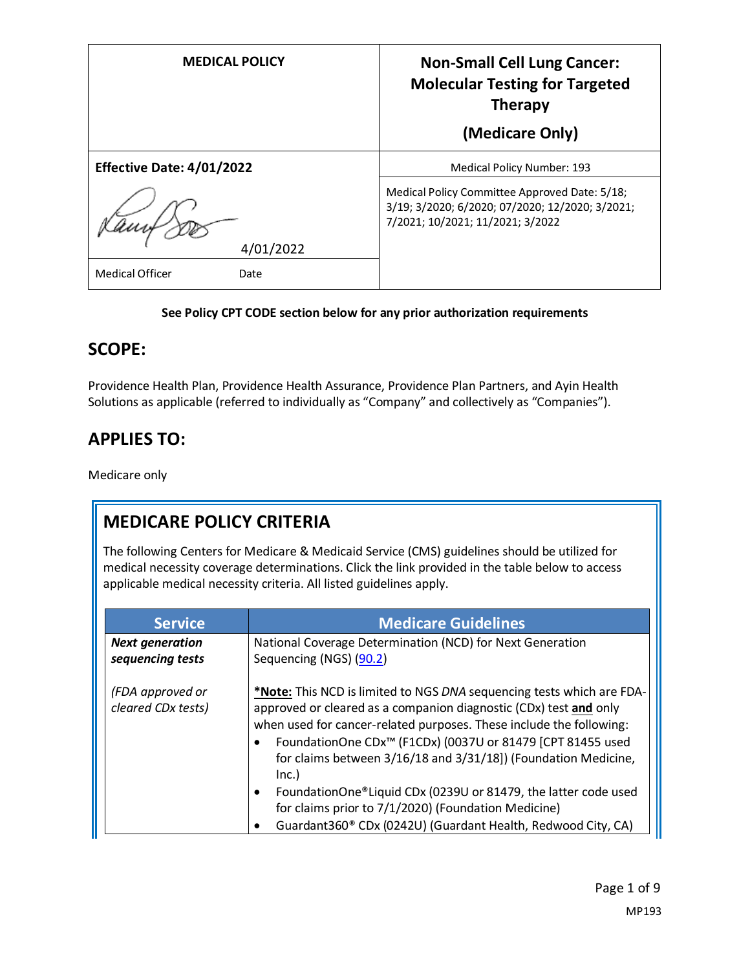| <b>MEDICAL POLICY</b>            | <b>Non-Small Cell Lung Cancer:</b><br><b>Molecular Testing for Targeted</b><br><b>Therapy</b>                                        |
|----------------------------------|--------------------------------------------------------------------------------------------------------------------------------------|
|                                  | (Medicare Only)                                                                                                                      |
| <b>Effective Date: 4/01/2022</b> | Medical Policy Number: 193                                                                                                           |
|                                  | Medical Policy Committee Approved Date: 5/18;<br>3/19; 3/2020; 6/2020; 07/2020; 12/2020; 3/2021;<br>7/2021; 10/2021; 11/2021; 3/2022 |
| 4/01/2022                        |                                                                                                                                      |
| <b>Medical Officer</b><br>Date   |                                                                                                                                      |

#### **See Policy CPT CODE section below for any prior authorization requirements**

#### **SCOPE:**

Providence Health Plan, Providence Health Assurance, Providence Plan Partners, and Ayin Health Solutions as applicable (referred to individually as "Company" and collectively as "Companies").

# **APPLIES TO:**

Medicare only

# **MEDICARE POLICY CRITERIA**

The following Centers for Medicare & Medicaid Service (CMS) guidelines should be utilized for medical necessity coverage determinations. Click the link provided in the table below to access applicable medical necessity criteria. All listed guidelines apply.

| <b>Service</b>                             | <b>Medicare Guidelines</b>                                                                                                                                                                                                                                                                                                                                                                                                                                                                                                                                                  |
|--------------------------------------------|-----------------------------------------------------------------------------------------------------------------------------------------------------------------------------------------------------------------------------------------------------------------------------------------------------------------------------------------------------------------------------------------------------------------------------------------------------------------------------------------------------------------------------------------------------------------------------|
| <b>Next generation</b><br>sequencing tests | National Coverage Determination (NCD) for Next Generation<br>Sequencing (NGS) (90.2)                                                                                                                                                                                                                                                                                                                                                                                                                                                                                        |
| (FDA approved or<br>cleared CDx tests)     | *Note: This NCD is limited to NGS DNA sequencing tests which are FDA-<br>approved or cleared as a companion diagnostic (CDx) test and only<br>when used for cancer-related purposes. These include the following:<br>FoundationOne CDx <sup>™</sup> (F1CDx) (0037U or 81479 [CPT 81455 used<br>for claims between 3/16/18 and 3/31/18]) (Foundation Medicine,<br>Inc.)<br>FoundationOne®Liquid CDx (0239U or 81479, the latter code used<br>for claims prior to 7/1/2020) (Foundation Medicine)<br>Guardant360 <sup>®</sup> CDx (0242U) (Guardant Health, Redwood City, CA) |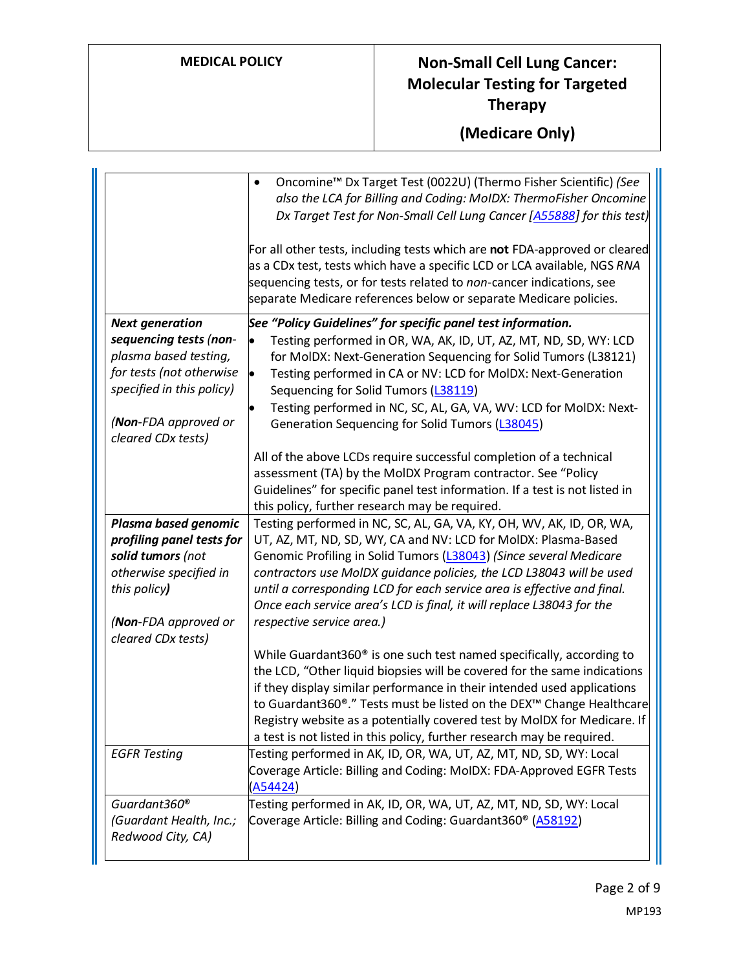|                           | Oncomine <sup>™</sup> Dx Target Test (0022U) (Thermo Fisher Scientific) (See<br>also the LCA for Billing and Coding: MoIDX: ThermoFisher Oncomine<br>Dx Target Test for Non-Small Cell Lung Cancer [A55888] for this test)                                                                           |
|---------------------------|------------------------------------------------------------------------------------------------------------------------------------------------------------------------------------------------------------------------------------------------------------------------------------------------------|
|                           | For all other tests, including tests which are not FDA-approved or cleared<br>as a CDx test, tests which have a specific LCD or LCA available, NGS RNA<br>sequencing tests, or for tests related to non-cancer indications, see<br>separate Medicare references below or separate Medicare policies. |
| <b>Next generation</b>    | See "Policy Guidelines" for specific panel test information.                                                                                                                                                                                                                                         |
| sequencing tests (non-    | Testing performed in OR, WA, AK, ID, UT, AZ, MT, ND, SD, WY: LCD<br>$\bullet$                                                                                                                                                                                                                        |
| plasma based testing,     | for MoIDX: Next-Generation Sequencing for Solid Tumors (L38121)                                                                                                                                                                                                                                      |
| for tests (not otherwise  | Testing performed in CA or NV: LCD for MoIDX: Next-Generation<br>$\bullet$                                                                                                                                                                                                                           |
| specified in this policy) | Sequencing for Solid Tumors (L38119)                                                                                                                                                                                                                                                                 |
|                           | Testing performed in NC, SC, AL, GA, VA, WV: LCD for MolDX: Next-<br>$\bullet$                                                                                                                                                                                                                       |
| (Non-FDA approved or      | Generation Sequencing for Solid Tumors (L38045)                                                                                                                                                                                                                                                      |
| cleared CDx tests)        |                                                                                                                                                                                                                                                                                                      |
|                           | All of the above LCDs require successful completion of a technical                                                                                                                                                                                                                                   |
|                           | assessment (TA) by the MoIDX Program contractor. See "Policy                                                                                                                                                                                                                                         |
|                           | Guidelines" for specific panel test information. If a test is not listed in                                                                                                                                                                                                                          |
| Plasma based genomic      | this policy, further research may be required.<br>Testing performed in NC, SC, AL, GA, VA, KY, OH, WV, AK, ID, OR, WA,                                                                                                                                                                               |
| profiling panel tests for | UT, AZ, MT, ND, SD, WY, CA and NV: LCD for MolDX: Plasma-Based                                                                                                                                                                                                                                       |
| solid tumors (not         | Genomic Profiling in Solid Tumors (L38043) (Since several Medicare                                                                                                                                                                                                                                   |
| otherwise specified in    | contractors use MoIDX guidance policies, the LCD L38043 will be used                                                                                                                                                                                                                                 |
| this policy)              | until a corresponding LCD for each service area is effective and final.                                                                                                                                                                                                                              |
|                           | Once each service area's LCD is final, it will replace L38043 for the                                                                                                                                                                                                                                |
| (Non-FDA approved or      | respective service area.)                                                                                                                                                                                                                                                                            |
| cleared CDx tests)        |                                                                                                                                                                                                                                                                                                      |
|                           | While Guardant360 <sup>®</sup> is one such test named specifically, according to                                                                                                                                                                                                                     |
|                           | the LCD, "Other liquid biopsies will be covered for the same indications                                                                                                                                                                                                                             |
|                           | if they display similar performance in their intended used applications                                                                                                                                                                                                                              |
|                           | to Guardant360®." Tests must be listed on the DEX™ Change Healthcare                                                                                                                                                                                                                                 |
|                           | Registry website as a potentially covered test by MoIDX for Medicare. If                                                                                                                                                                                                                             |
|                           | a test is not listed in this policy, further research may be required.                                                                                                                                                                                                                               |
| <b>EGFR Testing</b>       | Testing performed in AK, ID, OR, WA, UT, AZ, MT, ND, SD, WY: Local                                                                                                                                                                                                                                   |
|                           | Coverage Article: Billing and Coding: MoIDX: FDA-Approved EGFR Tests                                                                                                                                                                                                                                 |
|                           | (A54424)                                                                                                                                                                                                                                                                                             |
| Guardant360 <sup>®</sup>  | Testing performed in AK, ID, OR, WA, UT, AZ, MT, ND, SD, WY: Local                                                                                                                                                                                                                                   |
| (Guardant Health, Inc.;   | Coverage Article: Billing and Coding: Guardant360 <sup>®</sup> (A58192)                                                                                                                                                                                                                              |
| Redwood City, CA)         |                                                                                                                                                                                                                                                                                                      |
|                           |                                                                                                                                                                                                                                                                                                      |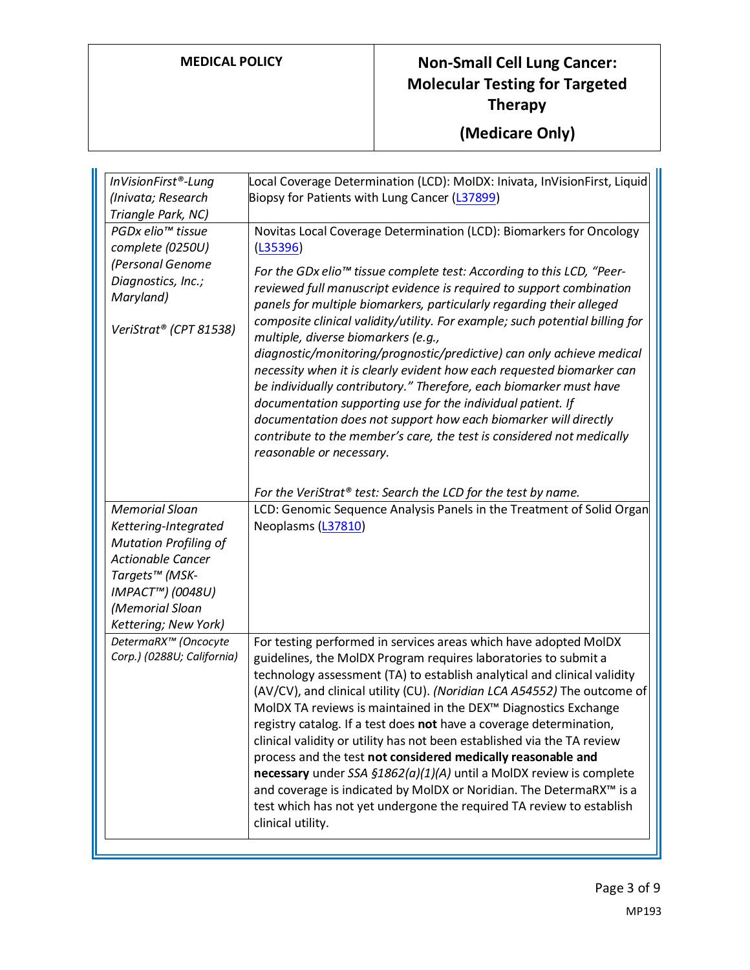| InVisionFirst®-Lung                                                           | Local Coverage Determination (LCD): MoIDX: Inivata, InVisionFirst, Liquid                                                                                                                                                                                                                                                                                                                                                                                                                                                                                                                                                                                                                                                                                                                                                     |
|-------------------------------------------------------------------------------|-------------------------------------------------------------------------------------------------------------------------------------------------------------------------------------------------------------------------------------------------------------------------------------------------------------------------------------------------------------------------------------------------------------------------------------------------------------------------------------------------------------------------------------------------------------------------------------------------------------------------------------------------------------------------------------------------------------------------------------------------------------------------------------------------------------------------------|
| (Inivata; Research                                                            | Biopsy for Patients with Lung Cancer (L37899)                                                                                                                                                                                                                                                                                                                                                                                                                                                                                                                                                                                                                                                                                                                                                                                 |
| Triangle Park, NC)                                                            |                                                                                                                                                                                                                                                                                                                                                                                                                                                                                                                                                                                                                                                                                                                                                                                                                               |
| PGDx elio <sup>™</sup> tissue<br>complete (0250U)                             | Novitas Local Coverage Determination (LCD): Biomarkers for Oncology<br>(L35396)                                                                                                                                                                                                                                                                                                                                                                                                                                                                                                                                                                                                                                                                                                                                               |
| (Personal Genome<br>Diagnostics, Inc.;<br>Maryland)<br>VeriStrat® (CPT 81538) | For the GDx elio <sup>™</sup> tissue complete test: According to this LCD, "Peer-<br>reviewed full manuscript evidence is required to support combination<br>panels for multiple biomarkers, particularly regarding their alleged<br>composite clinical validity/utility. For example; such potential billing for<br>multiple, diverse biomarkers (e.g.,<br>diagnostic/monitoring/prognostic/predictive) can only achieve medical<br>necessity when it is clearly evident how each requested biomarker can<br>be individually contributory." Therefore, each biomarker must have<br>documentation supporting use for the individual patient. If<br>documentation does not support how each biomarker will directly<br>contribute to the member's care, the test is considered not medically<br>reasonable or necessary.       |
|                                                                               | For the VeriStrat® test: Search the LCD for the test by name.                                                                                                                                                                                                                                                                                                                                                                                                                                                                                                                                                                                                                                                                                                                                                                 |
| <b>Memorial Sloan</b>                                                         | LCD: Genomic Sequence Analysis Panels in the Treatment of Solid Organ                                                                                                                                                                                                                                                                                                                                                                                                                                                                                                                                                                                                                                                                                                                                                         |
| Kettering-Integrated                                                          | Neoplasms (L37810)                                                                                                                                                                                                                                                                                                                                                                                                                                                                                                                                                                                                                                                                                                                                                                                                            |
| <b>Mutation Profiling of</b>                                                  |                                                                                                                                                                                                                                                                                                                                                                                                                                                                                                                                                                                                                                                                                                                                                                                                                               |
| <b>Actionable Cancer</b>                                                      |                                                                                                                                                                                                                                                                                                                                                                                                                                                                                                                                                                                                                                                                                                                                                                                                                               |
| Targets™ (MSK-                                                                |                                                                                                                                                                                                                                                                                                                                                                                                                                                                                                                                                                                                                                                                                                                                                                                                                               |
| IMPACT™) (0048U)                                                              |                                                                                                                                                                                                                                                                                                                                                                                                                                                                                                                                                                                                                                                                                                                                                                                                                               |
| (Memorial Sloan                                                               |                                                                                                                                                                                                                                                                                                                                                                                                                                                                                                                                                                                                                                                                                                                                                                                                                               |
| Kettering; New York)                                                          |                                                                                                                                                                                                                                                                                                                                                                                                                                                                                                                                                                                                                                                                                                                                                                                                                               |
| DetermaRX™ (Oncocyte<br>Corp.) (0288U; California)                            | For testing performed in services areas which have adopted MoIDX<br>guidelines, the MoIDX Program requires laboratories to submit a<br>technology assessment (TA) to establish analytical and clinical validity<br>(AV/CV), and clinical utility (CU). (Noridian LCA A54552) The outcome of<br>MoIDX TA reviews is maintained in the DEX™ Diagnostics Exchange<br>registry catalog. If a test does not have a coverage determination,<br>clinical validity or utility has not been established via the TA review<br>process and the test not considered medically reasonable and<br>necessary under SSA $$1862(a)(1)(A)$ until a MoIDX review is complete<br>and coverage is indicated by MolDX or Noridian. The DetermaRX™ is a<br>test which has not yet undergone the required TA review to establish<br>clinical utility. |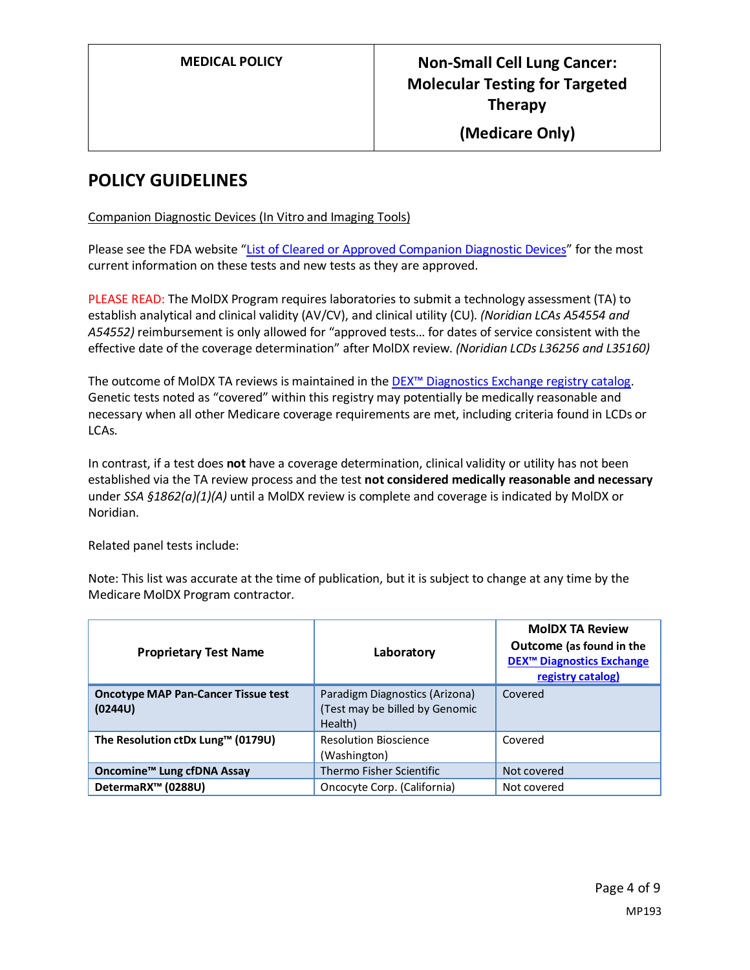#### **POLICY GUIDELINES**

Companion Diagnostic Devices (In Vitro and Imaging Tools)

Please see the FDA website ["List of Cleared or Approved Companion Diagnostic Devices"](https://www.fda.gov/MedicalDevices/ProductsandMedicalProcedures/InVitroDiagnostics/ucm301431.htm) for the most current information on these tests and new tests as they are approved.

PLEASE READ: The MolDX Program requires laboratories to submit a technology assessment (TA) to establish analytical and clinical validity (AV/CV), and clinical utility (CU). *(Noridian LCAs A54554 and A54552)* reimbursement is only allowed for "approved tests… for dates of service consistent with the effective date of the coverage determination" after MolDX review. *(Noridian LCDs L36256 and L35160)*

The outcome of MolDX TA reviews is maintained in the [DEX™ Diagnostics Exchange registry catalog.](https://app.dexzcodes.com/login) Genetic tests noted as "covered" within this registry may potentially be medically reasonable and necessary when all other Medicare coverage requirements are met, including criteria found in LCDs or LCAs.

In contrast, if a test does **not** have a coverage determination, clinical validity or utility has not been established via the TA review process and the test **not considered medically reasonable and necessary** under *SSA §1862(a)(1)(A)* until a MolDX review is complete and coverage is indicated by MolDX or Noridian.

Related panel tests include:

Note: This list was accurate at the time of publication, but it is subject to change at any time by the Medicare MolDX Program contractor.

| <b>Proprietary Test Name</b>                          | Laboratory                                                                  | <b>MoIDX TA Review</b><br>Outcome (as found in the<br><b>DEX<sup>™</sup> Diagnostics Exchange</b><br>registry catalog) |
|-------------------------------------------------------|-----------------------------------------------------------------------------|------------------------------------------------------------------------------------------------------------------------|
| <b>Oncotype MAP Pan-Cancer Tissue test</b><br>(0244U) | Paradigm Diagnostics (Arizona)<br>(Test may be billed by Genomic<br>Health) | Covered                                                                                                                |
| The Resolution ctDx Lung™ (0179U)                     | <b>Resolution Bioscience</b><br>(Washington)                                | Covered                                                                                                                |
| Oncomine <sup>™</sup> Lung cfDNA Assay                | Thermo Fisher Scientific                                                    | Not covered                                                                                                            |
| DetermaRX <sup>™</sup> (0288U)                        | Oncocyte Corp. (California)                                                 | Not covered                                                                                                            |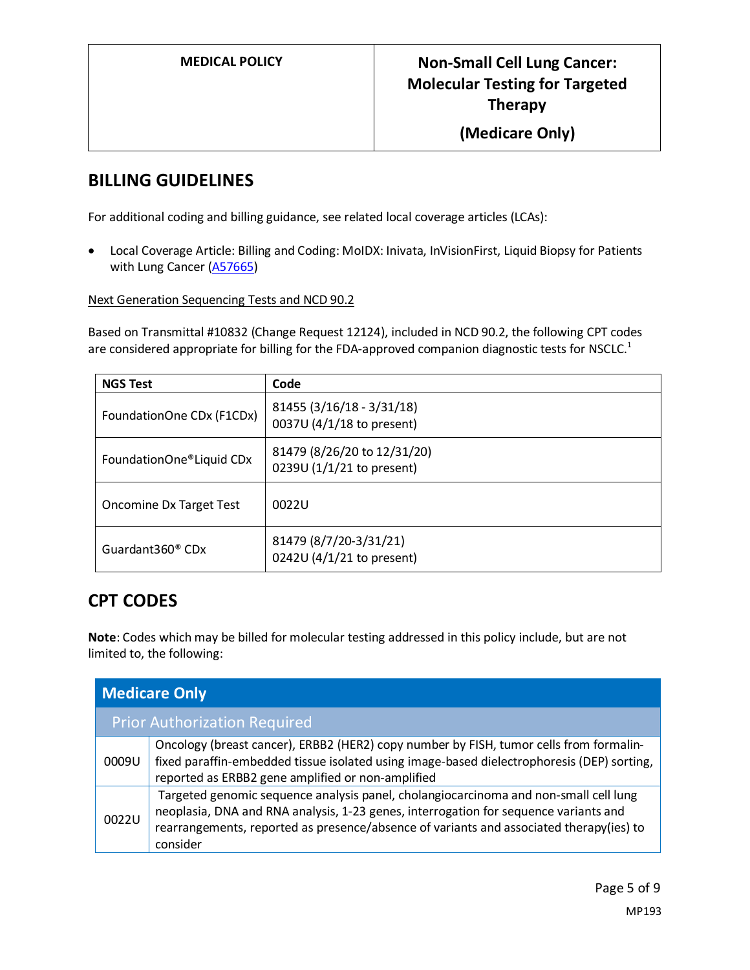#### **BILLING GUIDELINES**

For additional coding and billing guidance, see related local coverage articles (LCAs):

• Local Coverage Article: Billing and Coding: MoIDX: Inivata, InVisionFirst, Liquid Biopsy for Patients with Lung Cancer [\(A57665\)](https://www.cms.gov/medicare-coverage-database/details/article-details.aspx?articleId=57665)

#### Next Generation Sequencing Tests and NCD 90.2

Based on Transmittal #10832 (Change Request 12124), included in NCD 90.2, the following CPT codes are considered appropriate for billing for the FDA-approved companion diagnostic tests for NSCLC.<sup>1</sup>

| <b>NGS Test</b>              | Code                                                     |
|------------------------------|----------------------------------------------------------|
| FoundationOne CDx (F1CDx)    | 81455 (3/16/18 - 3/31/18)<br>0037U (4/1/18 to present)   |
| FoundationOne®Liquid CDx     | 81479 (8/26/20 to 12/31/20)<br>0239U (1/1/21 to present) |
| Oncomine Dx Target Test      | 0022U                                                    |
| Guardant360 <sup>®</sup> CDx | 81479 (8/7/20-3/31/21)<br>0242U (4/1/21 to present)      |

### **CPT CODES**

**Note**: Codes which may be billed for molecular testing addressed in this policy include, but are not limited to, the following:

| <b>Medicare Only</b> |                                                                                                                                                                                                                                                                                     |
|----------------------|-------------------------------------------------------------------------------------------------------------------------------------------------------------------------------------------------------------------------------------------------------------------------------------|
|                      | <b>Prior Authorization Required</b>                                                                                                                                                                                                                                                 |
| 0009U                | Oncology (breast cancer), ERBB2 (HER2) copy number by FISH, tumor cells from formalin-<br>fixed paraffin-embedded tissue isolated using image-based dielectrophoresis (DEP) sorting,<br>reported as ERBB2 gene amplified or non-amplified                                           |
| 0022U                | Targeted genomic sequence analysis panel, cholangiocarcinoma and non-small cell lung<br>neoplasia, DNA and RNA analysis, 1-23 genes, interrogation for sequence variants and<br>rearrangements, reported as presence/absence of variants and associated therapy(ies) to<br>consider |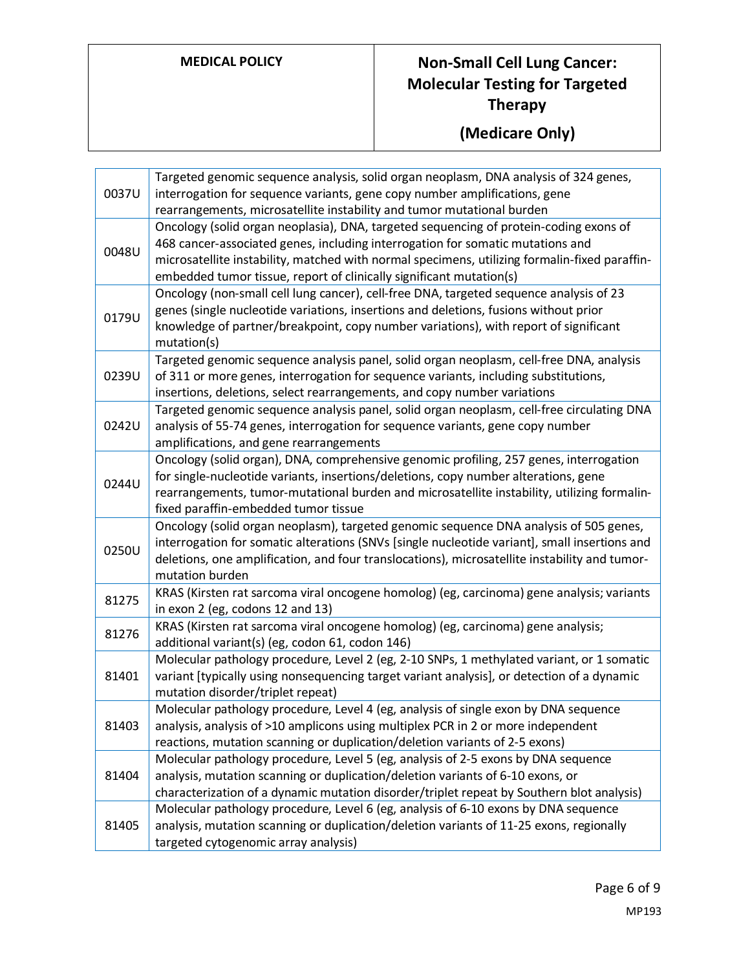| 0037U | Targeted genomic sequence analysis, solid organ neoplasm, DNA analysis of 324 genes,<br>interrogation for sequence variants, gene copy number amplifications, gene<br>rearrangements, microsatellite instability and tumor mutational burden                                                                                                    |
|-------|-------------------------------------------------------------------------------------------------------------------------------------------------------------------------------------------------------------------------------------------------------------------------------------------------------------------------------------------------|
| 0048U | Oncology (solid organ neoplasia), DNA, targeted sequencing of protein-coding exons of<br>468 cancer-associated genes, including interrogation for somatic mutations and<br>microsatellite instability, matched with normal specimens, utilizing formalin-fixed paraffin-<br>embedded tumor tissue, report of clinically significant mutation(s) |
| 0179U | Oncology (non-small cell lung cancer), cell-free DNA, targeted sequence analysis of 23<br>genes (single nucleotide variations, insertions and deletions, fusions without prior<br>knowledge of partner/breakpoint, copy number variations), with report of significant<br>mutation(s)                                                           |
| 0239U | Targeted genomic sequence analysis panel, solid organ neoplasm, cell-free DNA, analysis<br>of 311 or more genes, interrogation for sequence variants, including substitutions,<br>insertions, deletions, select rearrangements, and copy number variations                                                                                      |
| 0242U | Targeted genomic sequence analysis panel, solid organ neoplasm, cell-free circulating DNA<br>analysis of 55-74 genes, interrogation for sequence variants, gene copy number<br>amplifications, and gene rearrangements                                                                                                                          |
| 0244U | Oncology (solid organ), DNA, comprehensive genomic profiling, 257 genes, interrogation<br>for single-nucleotide variants, insertions/deletions, copy number alterations, gene<br>rearrangements, tumor-mutational burden and microsatellite instability, utilizing formalin-<br>fixed paraffin-embedded tumor tissue                            |
| 0250U | Oncology (solid organ neoplasm), targeted genomic sequence DNA analysis of 505 genes,<br>interrogation for somatic alterations (SNVs [single nucleotide variant], small insertions and<br>deletions, one amplification, and four translocations), microsatellite instability and tumor-<br>mutation burden                                      |
| 81275 | KRAS (Kirsten rat sarcoma viral oncogene homolog) (eg, carcinoma) gene analysis; variants<br>in exon 2 (eg, codons 12 and 13)                                                                                                                                                                                                                   |
| 81276 | KRAS (Kirsten rat sarcoma viral oncogene homolog) (eg, carcinoma) gene analysis;<br>additional variant(s) (eg, codon 61, codon 146)                                                                                                                                                                                                             |
| 81401 | Molecular pathology procedure, Level 2 (eg, 2-10 SNPs, 1 methylated variant, or 1 somatic<br>variant [typically using nonsequencing target variant analysis], or detection of a dynamic<br>mutation disorder/triplet repeat)                                                                                                                    |
| 81403 | Molecular pathology procedure, Level 4 (eg, analysis of single exon by DNA sequence<br>analysis, analysis of >10 amplicons using multiplex PCR in 2 or more independent<br>reactions, mutation scanning or duplication/deletion variants of 2-5 exons)                                                                                          |
| 81404 | Molecular pathology procedure, Level 5 (eg, analysis of 2-5 exons by DNA sequence<br>analysis, mutation scanning or duplication/deletion variants of 6-10 exons, or<br>characterization of a dynamic mutation disorder/triplet repeat by Southern blot analysis)                                                                                |
| 81405 | Molecular pathology procedure, Level 6 (eg, analysis of 6-10 exons by DNA sequence<br>analysis, mutation scanning or duplication/deletion variants of 11-25 exons, regionally<br>targeted cytogenomic array analysis)                                                                                                                           |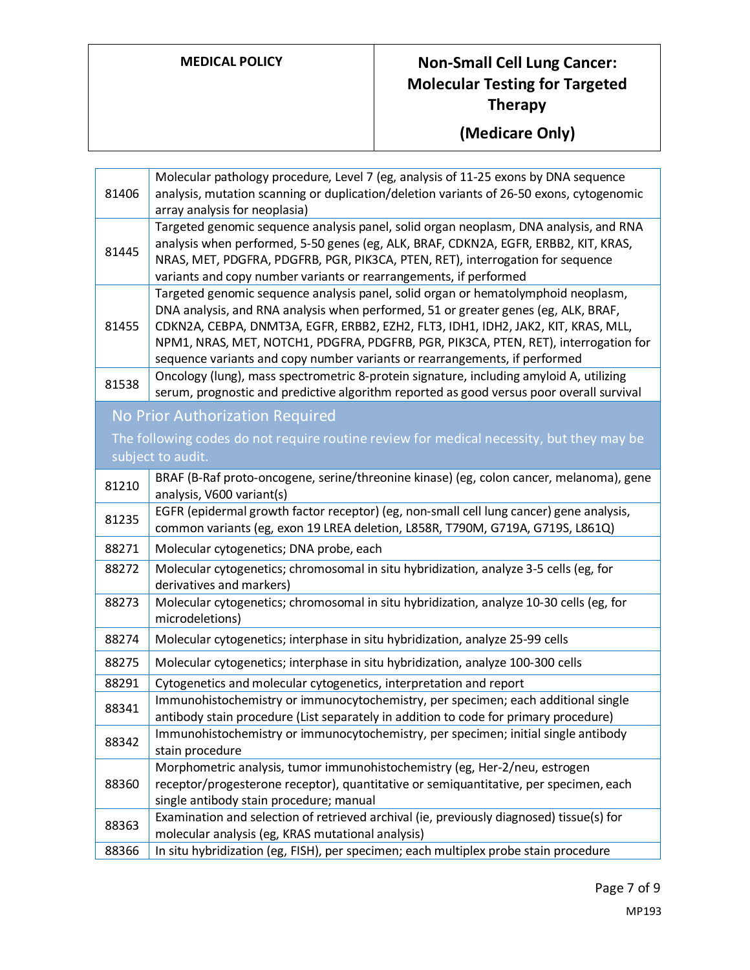| 81406 | Molecular pathology procedure, Level 7 (eg, analysis of 11-25 exons by DNA sequence<br>analysis, mutation scanning or duplication/deletion variants of 26-50 exons, cytogenomic<br>array analysis for neoplasia)                                                                                                                                                                                                                  |
|-------|-----------------------------------------------------------------------------------------------------------------------------------------------------------------------------------------------------------------------------------------------------------------------------------------------------------------------------------------------------------------------------------------------------------------------------------|
| 81445 | Targeted genomic sequence analysis panel, solid organ neoplasm, DNA analysis, and RNA<br>analysis when performed, 5-50 genes (eg, ALK, BRAF, CDKN2A, EGFR, ERBB2, KIT, KRAS,<br>NRAS, MET, PDGFRA, PDGFRB, PGR, PIK3CA, PTEN, RET), interrogation for sequence<br>variants and copy number variants or rearrangements, if performed                                                                                               |
| 81455 | Targeted genomic sequence analysis panel, solid organ or hematolymphoid neoplasm,<br>DNA analysis, and RNA analysis when performed, 51 or greater genes (eg, ALK, BRAF,<br>CDKN2A, CEBPA, DNMT3A, EGFR, ERBB2, EZH2, FLT3, IDH1, IDH2, JAK2, KIT, KRAS, MLL,<br>NPM1, NRAS, MET, NOTCH1, PDGFRA, PDGFRB, PGR, PIK3CA, PTEN, RET), interrogation for<br>sequence variants and copy number variants or rearrangements, if performed |
| 81538 | Oncology (lung), mass spectrometric 8-protein signature, including amyloid A, utilizing<br>serum, prognostic and predictive algorithm reported as good versus poor overall survival                                                                                                                                                                                                                                               |
|       | No Prior Authorization Required                                                                                                                                                                                                                                                                                                                                                                                                   |
|       | The following codes do not require routine review for medical necessity, but they may be<br>subject to audit.                                                                                                                                                                                                                                                                                                                     |
|       |                                                                                                                                                                                                                                                                                                                                                                                                                                   |
| 81210 | BRAF (B-Raf proto-oncogene, serine/threonine kinase) (eg, colon cancer, melanoma), gene<br>analysis, V600 variant(s)                                                                                                                                                                                                                                                                                                              |
| 81235 | EGFR (epidermal growth factor receptor) (eg, non-small cell lung cancer) gene analysis,<br>common variants (eg, exon 19 LREA deletion, L858R, T790M, G719A, G719S, L861Q)                                                                                                                                                                                                                                                         |
| 88271 | Molecular cytogenetics; DNA probe, each                                                                                                                                                                                                                                                                                                                                                                                           |
| 88272 | Molecular cytogenetics; chromosomal in situ hybridization, analyze 3-5 cells (eg, for<br>derivatives and markers)                                                                                                                                                                                                                                                                                                                 |
| 88273 | Molecular cytogenetics; chromosomal in situ hybridization, analyze 10-30 cells (eg, for<br>microdeletions)                                                                                                                                                                                                                                                                                                                        |
| 88274 | Molecular cytogenetics; interphase in situ hybridization, analyze 25-99 cells                                                                                                                                                                                                                                                                                                                                                     |
| 88275 | Molecular cytogenetics; interphase in situ hybridization, analyze 100-300 cells                                                                                                                                                                                                                                                                                                                                                   |
| 88291 | Cytogenetics and molecular cytogenetics, interpretation and report                                                                                                                                                                                                                                                                                                                                                                |
| 88341 | Immunohistochemistry or immunocytochemistry, per specimen; each additional single                                                                                                                                                                                                                                                                                                                                                 |
| 88342 | antibody stain procedure (List separately in addition to code for primary procedure)<br>Immunohistochemistry or immunocytochemistry, per specimen; initial single antibody<br>stain procedure                                                                                                                                                                                                                                     |
| 88360 | Morphometric analysis, tumor immunohistochemistry (eg, Her-2/neu, estrogen<br>receptor/progesterone receptor), quantitative or semiquantitative, per specimen, each<br>single antibody stain procedure; manual                                                                                                                                                                                                                    |
| 88363 | Examination and selection of retrieved archival (ie, previously diagnosed) tissue(s) for<br>molecular analysis (eg, KRAS mutational analysis)                                                                                                                                                                                                                                                                                     |
| 88366 | In situ hybridization (eg, FISH), per specimen; each multiplex probe stain procedure                                                                                                                                                                                                                                                                                                                                              |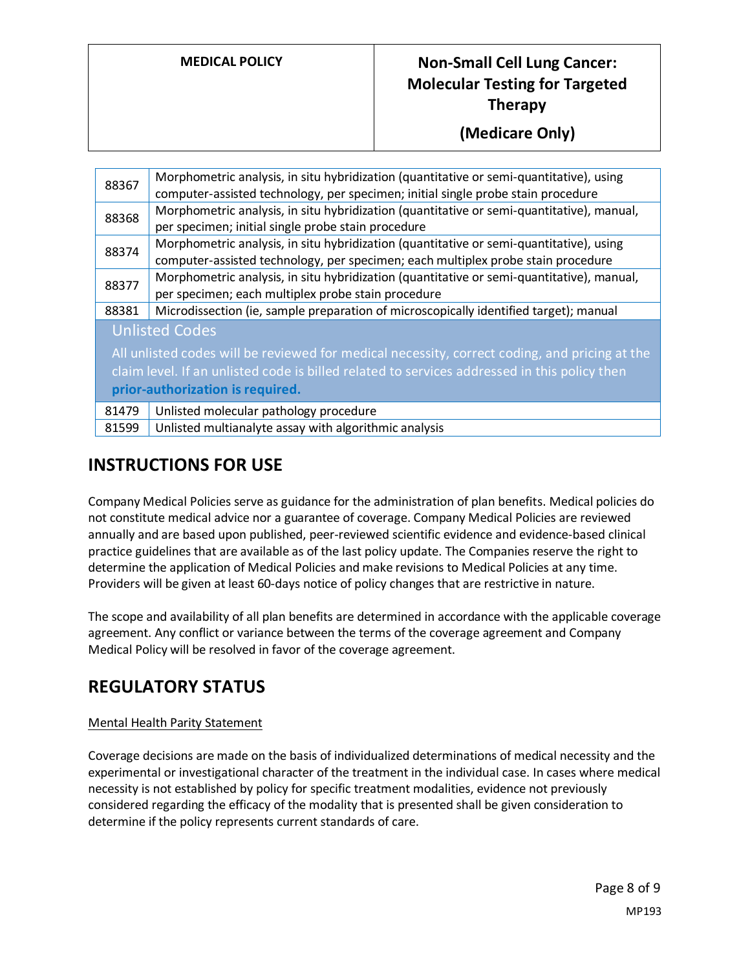**(Medicare Only)**

| 88367                                                                                                                                                                                                                                                      | Morphometric analysis, in situ hybridization (quantitative or semi-quantitative), using<br>computer-assisted technology, per specimen; initial single probe stain procedure |
|------------------------------------------------------------------------------------------------------------------------------------------------------------------------------------------------------------------------------------------------------------|-----------------------------------------------------------------------------------------------------------------------------------------------------------------------------|
| 88368                                                                                                                                                                                                                                                      | Morphometric analysis, in situ hybridization (quantitative or semi-quantitative), manual,<br>per specimen; initial single probe stain procedure                             |
| 88374                                                                                                                                                                                                                                                      | Morphometric analysis, in situ hybridization (quantitative or semi-quantitative), using<br>computer-assisted technology, per specimen; each multiplex probe stain procedure |
| 88377                                                                                                                                                                                                                                                      | Morphometric analysis, in situ hybridization (quantitative or semi-quantitative), manual,<br>per specimen; each multiplex probe stain procedure                             |
| 88381                                                                                                                                                                                                                                                      | Microdissection (ie, sample preparation of microscopically identified target); manual                                                                                       |
| <b>Unlisted Codes</b><br>All unlisted codes will be reviewed for medical necessity, correct coding, and pricing at the<br>claim level. If an unlisted code is billed related to services addressed in this policy then<br>prior-authorization is required. |                                                                                                                                                                             |
| 81479                                                                                                                                                                                                                                                      | Unlisted molecular pathology procedure                                                                                                                                      |
| 81599                                                                                                                                                                                                                                                      | Unlisted multianalyte assay with algorithmic analysis                                                                                                                       |

### **INSTRUCTIONS FOR USE**

Company Medical Policies serve as guidance for the administration of plan benefits. Medical policies do not constitute medical advice nor a guarantee of coverage. Company Medical Policies are reviewed annually and are based upon published, peer-reviewed scientific evidence and evidence-based clinical practice guidelines that are available as of the last policy update. The Companies reserve the right to determine the application of Medical Policies and make revisions to Medical Policies at any time. Providers will be given at least 60-days notice of policy changes that are restrictive in nature.

The scope and availability of all plan benefits are determined in accordance with the applicable coverage agreement. Any conflict or variance between the terms of the coverage agreement and Company Medical Policy will be resolved in favor of the coverage agreement.

### **REGULATORY STATUS**

#### Mental Health Parity Statement

Coverage decisions are made on the basis of individualized determinations of medical necessity and the experimental or investigational character of the treatment in the individual case. In cases where medical necessity is not established by policy for specific treatment modalities, evidence not previously considered regarding the efficacy of the modality that is presented shall be given consideration to determine if the policy represents current standards of care.